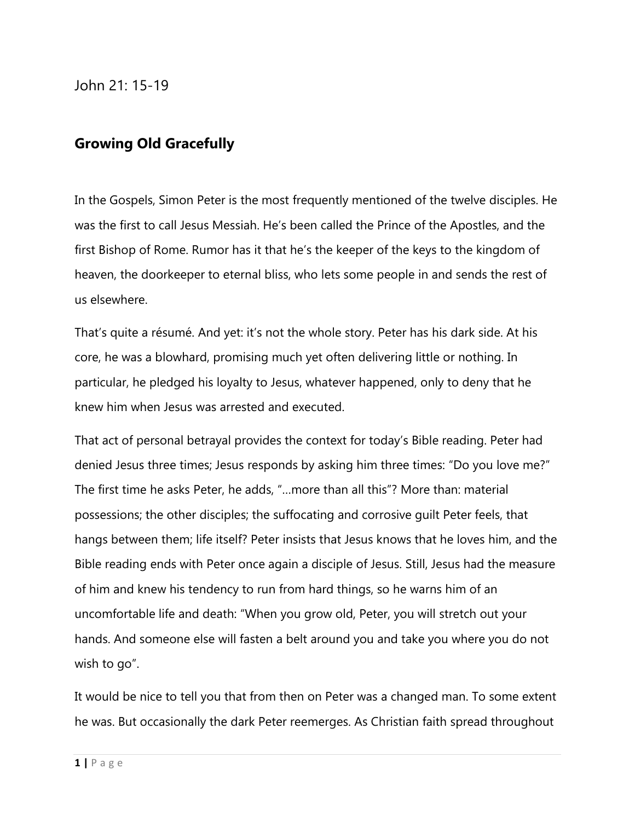John 21: 15-19

## **Growing Old Gracefully**

In the Gospels, Simon Peter is the most frequently mentioned of the twelve disciples. He was the first to call Jesus Messiah. He's been called the Prince of the Apostles, and the first Bishop of Rome. Rumor has it that he's the keeper of the keys to the kingdom of heaven, the doorkeeper to eternal bliss, who lets some people in and sends the rest of us elsewhere.

That's quite a résumé. And yet: it's not the whole story. Peter has his dark side. At his core, he was a blowhard, promising much yet often delivering little or nothing. In particular, he pledged his loyalty to Jesus, whatever happened, only to deny that he knew him when Jesus was arrested and executed.

That act of personal betrayal provides the context for today's Bible reading. Peter had denied Jesus three times; Jesus responds by asking him three times: "Do you love me?" The first time he asks Peter, he adds, "…more than all this"? More than: material possessions; the other disciples; the suffocating and corrosive guilt Peter feels, that hangs between them; life itself? Peter insists that Jesus knows that he loves him, and the Bible reading ends with Peter once again a disciple of Jesus. Still, Jesus had the measure of him and knew his tendency to run from hard things, so he warns him of an uncomfortable life and death: "When you grow old, Peter, you will stretch out your hands. And someone else will fasten a belt around you and take you where you do not wish to go".

It would be nice to tell you that from then on Peter was a changed man. To some extent he was. But occasionally the dark Peter reemerges. As Christian faith spread throughout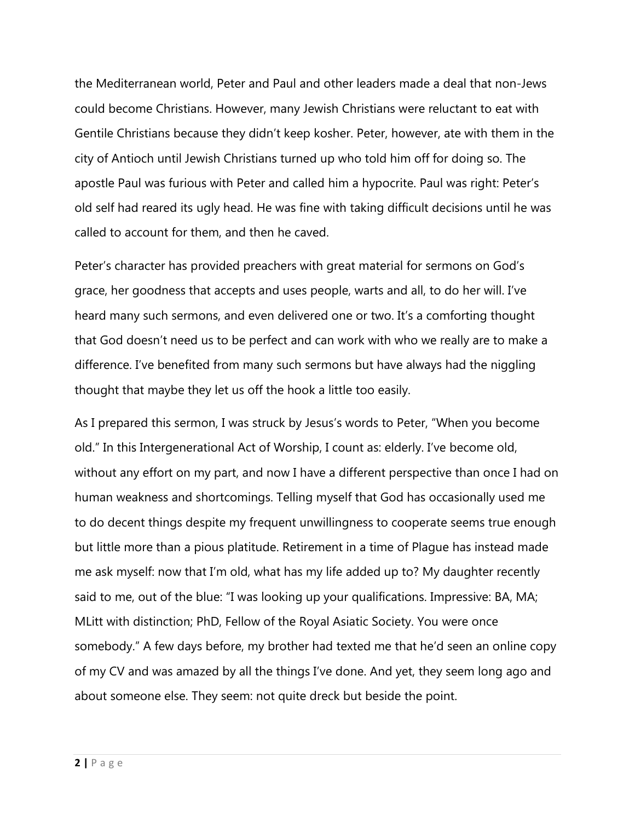the Mediterranean world, Peter and Paul and other leaders made a deal that non-Jews could become Christians. However, many Jewish Christians were reluctant to eat with Gentile Christians because they didn't keep kosher. Peter, however, ate with them in the city of Antioch until Jewish Christians turned up who told him off for doing so. The apostle Paul was furious with Peter and called him a hypocrite. Paul was right: Peter's old self had reared its ugly head. He was fine with taking difficult decisions until he was called to account for them, and then he caved.

Peter's character has provided preachers with great material for sermons on God's grace, her goodness that accepts and uses people, warts and all, to do her will. I've heard many such sermons, and even delivered one or two. It's a comforting thought that God doesn't need us to be perfect and can work with who we really are to make a difference. I've benefited from many such sermons but have always had the niggling thought that maybe they let us off the hook a little too easily.

As I prepared this sermon, I was struck by Jesus's words to Peter, "When you become old." In this Intergenerational Act of Worship, I count as: elderly. I've become old, without any effort on my part, and now I have a different perspective than once I had on human weakness and shortcomings. Telling myself that God has occasionally used me to do decent things despite my frequent unwillingness to cooperate seems true enough but little more than a pious platitude. Retirement in a time of Plague has instead made me ask myself: now that I'm old, what has my life added up to? My daughter recently said to me, out of the blue: "I was looking up your qualifications. Impressive: BA, MA; MLitt with distinction; PhD, Fellow of the Royal Asiatic Society. You were once somebody." A few days before, my brother had texted me that he'd seen an online copy of my CV and was amazed by all the things I've done. And yet, they seem long ago and about someone else. They seem: not quite dreck but beside the point.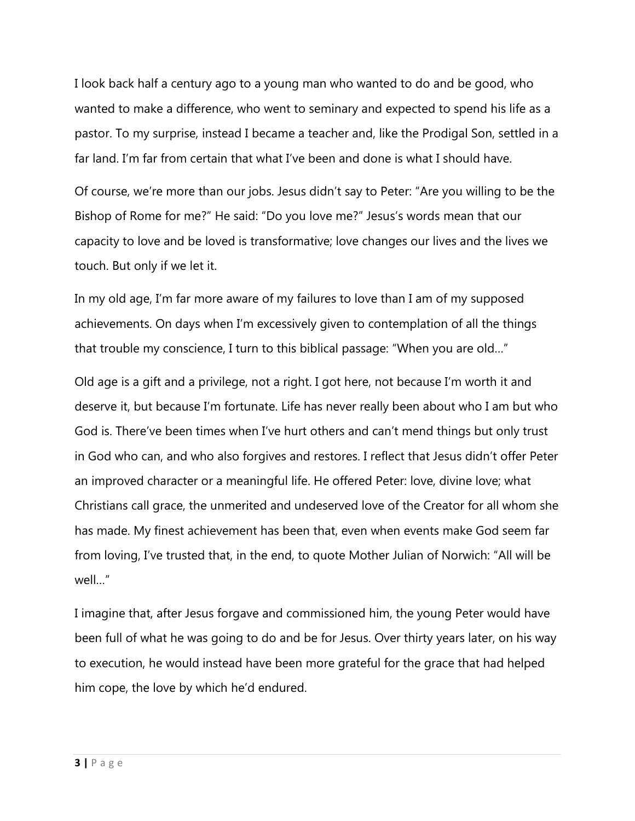I look back half a century ago to a young man who wanted to do and be good, who wanted to make a difference, who went to seminary and expected to spend his life as a pastor. To my surprise, instead I became a teacher and, like the Prodigal Son, settled in a far land. I'm far from certain that what I've been and done is what I should have.

Of course, we're more than our jobs. Jesus didn't say to Peter: "Are you willing to be the Bishop of Rome for me?" He said: "Do you love me?" Jesus's words mean that our capacity to love and be loved is transformative; love changes our lives and the lives we touch. But only if we let it.

In my old age, I'm far more aware of my failures to love than I am of my supposed achievements. On days when I'm excessively given to contemplation of all the things that trouble my conscience, I turn to this biblical passage: "When you are old…"

Old age is a gift and a privilege, not a right. I got here, not because I'm worth it and deserve it, but because I'm fortunate. Life has never really been about who I am but who God is. There've been times when I've hurt others and can't mend things but only trust in God who can, and who also forgives and restores. I reflect that Jesus didn't offer Peter an improved character or a meaningful life. He offered Peter: love, divine love; what Christians call grace, the unmerited and undeserved love of the Creator for all whom she has made. My finest achievement has been that, even when events make God seem far from loving, I've trusted that, in the end, to quote Mother Julian of Norwich: "All will be well…"

I imagine that, after Jesus forgave and commissioned him, the young Peter would have been full of what he was going to do and be for Jesus. Over thirty years later, on his way to execution, he would instead have been more grateful for the grace that had helped him cope, the love by which he'd endured.